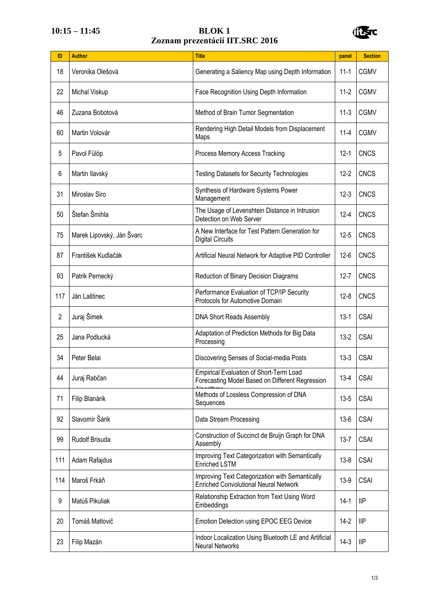## **10:15 – 11:45 BLOK 1 Zoznam prezentácií IIT.SRC 2016**



| ID             | <b>Author</b>             | <b>Title</b>                                                                                      | panel    | <b>Section</b> |
|----------------|---------------------------|---------------------------------------------------------------------------------------------------|----------|----------------|
| 18             | Veronika Olešová          | Generating a Saliency Map using Depth Information                                                 | $11 - 1$ | <b>CGMV</b>    |
| 22             | Michal Viskup             | Face Recognition Using Depth Information                                                          | $11-2$   | <b>CGMV</b>    |
| 46             | Zuzana Bobotová           | Method of Brain Tumor Segmentation                                                                | $11-3$   | <b>CGMV</b>    |
| 60             | Martin Volovár            | Rendering High Detail Models from Displacement<br>Maps                                            | $11 - 4$ | <b>CGMV</b>    |
| 5              | Pavol Fülöp               | Process Memory Access Tracking                                                                    | $12 - 1$ | <b>CNCS</b>    |
| 6              | Martin Ilavský            | <b>Testing Datasets for Security Technologies</b>                                                 | $12 - 2$ | <b>CNCS</b>    |
| 31             | Miroslav Siro             | Synthesis of Hardware Systems Power<br>Management                                                 | $12 - 3$ | <b>CNCS</b>    |
| 50             | Štefan Šmihla             | The Usage of Levenshtein Distance in Intrusion<br>Detection on Web Server                         | $12 - 4$ | <b>CNCS</b>    |
| 75             | Marek Lipovský, Ján Švarc | A New Interface for Test Pattern Generation for<br><b>Digital Circuits</b>                        | $12 - 5$ | <b>CNCS</b>    |
| 87             | František Kudlačák        | Artificial Neural Network for Adaptive PID Controller                                             | $12-6$   | <b>CNCS</b>    |
| 93             | Patrik Pernecký           | Reduction of Binary Decision Diagrams                                                             | $12 - 7$ | <b>CNCS</b>    |
| 117            | Ján Laštinec              | Performance Evaluation of TCP/IP Security<br>Protocols for Automotive Domain                      | $12 - 8$ | <b>CNCS</b>    |
| $\overline{2}$ | Juraj Šimek               | DNA Short Reads Assembly                                                                          | $13-1$   | <b>CSAI</b>    |
| 25             | Jana Podlucká             | Adaptation of Prediction Methods for Big Data<br>Processing                                       | $13 - 2$ | <b>CSAI</b>    |
| 34             | Peter Belai               | Discovering Senses of Social-media Posts                                                          | $13-3$   | <b>CSAI</b>    |
| 44             | Juraj Rabčan              | <b>Empirical Evaluation of Short-Term Load</b><br>Forecasting Model Based on Different Regression | $13 - 4$ | <b>CSAI</b>    |
| 71             | Filip Blanárik            | Methods of Lossless Compression of DNA<br>Sequences                                               | $13 - 5$ | <b>CSAI</b>    |
| 92             | Slavomír Šárik            | Data Stream Processing                                                                            | $13-6$   | <b>CSAI</b>    |
| 99             | Rudolf Brisuda            | Construction of Succinct de Bruijn Graph for DNA<br>Assembly                                      | $13 - 7$ | <b>CSAI</b>    |
| 111            | Adam Rafajdus             | Improving Text Categorization with Semantically<br><b>Enriched LSTM</b>                           | $13 - 8$ | <b>CSAI</b>    |
| 114            | Maroš Frkáň               | Improving Text Categorization with Semantically<br><b>Enriched Convolutional Neural Network</b>   | $13-9$   | <b>CSAI</b>    |
| 9              | Matúš Pikuliak            | Relationship Extraction from Text Using Word<br>Embeddings                                        | $14-1$   | <b>IIP</b>     |
| 20             | Tomáš Matlovič            | <b>Emotion Detection using EPOC EEG Device</b>                                                    | $14-2$   | <b>IIP</b>     |
| 23             | Filip Mazán               | Indoor Localization Using Bluetooth LE and Artificial<br><b>Neural Networks</b>                   | $14-3$   | <b>IIP</b>     |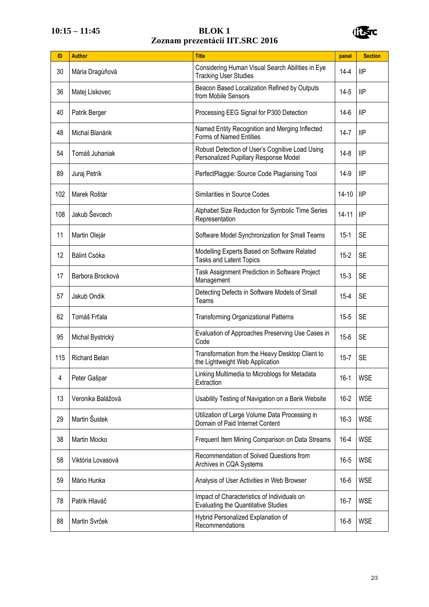## **10:15 – 11:45 BLOK 1 Zoznam prezentácií IIT.SRC 2016**



| ID  | <b>Author</b>        | <b>Title</b>                                                                             | panel     | <b>Section</b> |
|-----|----------------------|------------------------------------------------------------------------------------------|-----------|----------------|
| 30  | Mária Dragúňová      | Considering Human Visual Search Abilities in Eye<br><b>Tracking User Studies</b>         | $14 - 4$  | IIP            |
| 36  | Matej Liskovec       | Beacon Based Localization Refined by Outputs<br>from Mobile Sensors                      | $14-5$    | <b>IIP</b>     |
| 40  | Patrik Berger        | Processing EEG Signal for P300 Detection                                                 | 14-6      | IIP            |
| 48  | Michal Blanárik      | Named Entity Recognition and Merging Inflected<br>Forms of Named Entities                | 14-7      | llP            |
| 54  | Tomáš Juhaniak       | Robust Detection of User's Cognitive Load Using<br>Personalized Pupillary Response Model | 14-8      | llP            |
| 89  | Juraj Petrík         | PerfectPlaggie: Source Code Plagiarising Tool                                            | 14-9      | llP            |
| 102 | Marek Roštár         | Similarities in Source Codes                                                             | $14 - 10$ | 1IP            |
| 108 | Jakub Ševcech        | Alphabet Size Reduction for Symbolic Time Series<br>Representation                       | $14 - 11$ | IIP            |
| 11  | Martin Olejár        | Software Model Synchronization for Small Teams                                           | $15-1$    | <b>SE</b>      |
| 12  | Bálint Csóka         | Modelling Experts Based on Software Related<br><b>Tasks and Latent Topics</b>            | $15 - 2$  | <b>SE</b>      |
| 17  | Barbora Brocková     | Task Assignment Prediction in Software Project<br>Management                             | $15-3$    | <b>SE</b>      |
| 57  | Jakub Ondik          | Detecting Defects in Software Models of Small<br>Teams                                   | $15 - 4$  | <b>SE</b>      |
| 62  | Tomáš Frťala         | <b>Transforming Organizational Patterns</b>                                              | $15 - 5$  | <b>SE</b>      |
| 95  | Michal Bystrický     | Evaluation of Approaches Preserving Use Cases in<br>Code                                 | $15 - 6$  | <b>SE</b>      |
| 115 | <b>Richard Belan</b> | Transformation from the Heavy Desktop Client to<br>the Lightweight Web Application       | $15 - 7$  | <b>SE</b>      |
| 4   | Peter Gašpar         | Linking Multimedia to Microblogs for Metadata<br>Extraction                              | $16-1$    | <b>WSE</b>     |
| 13  | Veronika Balážová    | Usability Testing of Navigation on a Bank Website                                        | $16 - 2$  | <b>WSE</b>     |
| 29  | Martin Šustek        | Utilization of Large Volume Data Processing in<br>Domain of Paid Internet Content        | $16-3$    | <b>WSE</b>     |
| 38  | Martin Mocko         | Frequent Item Mining Comparison on Data Streams                                          | $16 - 4$  | <b>WSE</b>     |
| 58  | Viktória Lovasová    | Recommendation of Solved Questions from<br>Archives in CQA Systems                       | $16 - 5$  | <b>WSE</b>     |
| 59  | Mário Hunka          | Analysis of User Activities in Web Browser                                               | $16-6$    | <b>WSE</b>     |
| 78  | Patrik Hlaváč        | Impact of Characteristics of Individuals on<br>Evaluating the Quantitative Studies       | $16 - 7$  | <b>WSE</b>     |
| 88  | Martin Svrček        | Hybrid Personalized Explanation of<br>Recommendations                                    | $16 - 8$  | <b>WSE</b>     |